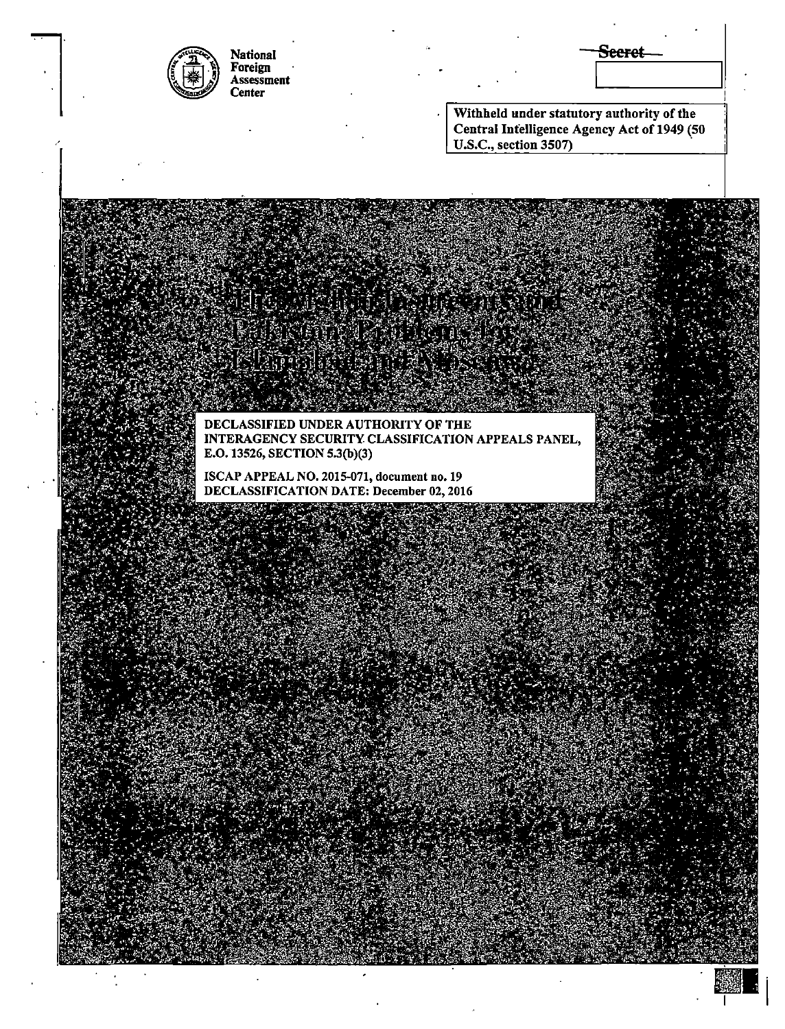| <b>National</b><br>Foreign<br>Assessment<br><b>Center</b>                                                                                                      |                                                                                                                   | Seeret |
|----------------------------------------------------------------------------------------------------------------------------------------------------------------|-------------------------------------------------------------------------------------------------------------------|--------|
|                                                                                                                                                                | Withheld under statutory authority of the<br>Central Intelligence Agency Act of 1949 (50<br>U.S.C., section 3507) |        |
|                                                                                                                                                                |                                                                                                                   |        |
|                                                                                                                                                                |                                                                                                                   |        |
|                                                                                                                                                                |                                                                                                                   |        |
| DECLASSIFIED UNDER AUTHORITY OF THE<br>E.O. 13526, SECTION 5.3(b)(3)<br>ISCAP APPEAL NO. 2015-071, document no. 19<br>DECLASSIFICATION DATE: December 02, 2016 | INTERAGENCY SECURITY CLASSIFICATION APPEALS PANEL,                                                                |        |
|                                                                                                                                                                |                                                                                                                   |        |
|                                                                                                                                                                |                                                                                                                   |        |
|                                                                                                                                                                |                                                                                                                   |        |
|                                                                                                                                                                |                                                                                                                   |        |
|                                                                                                                                                                |                                                                                                                   |        |
|                                                                                                                                                                |                                                                                                                   |        |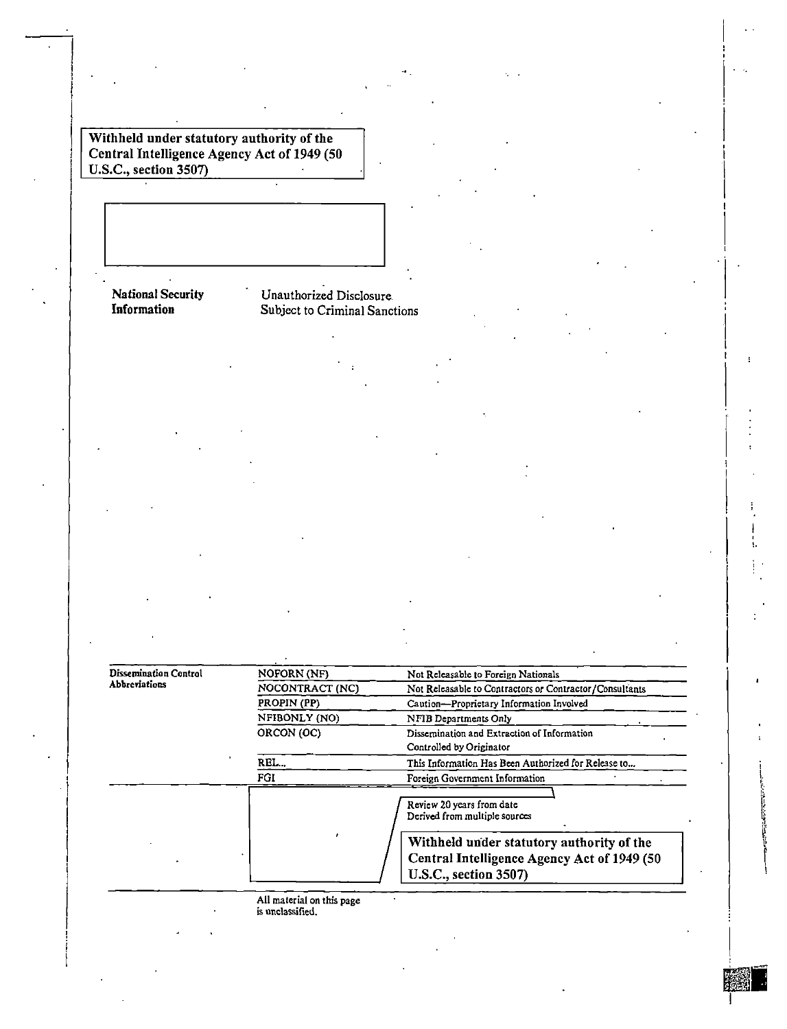$\frac{1}{2}$  Withheld under statutory authority of the  $\frac{1}{2}$   $\frac{1}{2}$   $\frac{1}{2}$   $\frac{1}{2}$   $\frac{1}{2}$   $\frac{1}{2}$   $\frac{1}{2}$   $\frac{1}{2}$   $\frac{1}{2}$   $\frac{1}{2}$   $\frac{1}{2}$   $\frac{1}{2}$   $\frac{1}{2}$   $\frac{1}{2}$   $\frac{1}{2}$   $\frac{1}{2}$   $\frac{1}{2}$ Central Intelligence Agency Act of 1949 (50  $\Box$ ) U.S.C., section 3507)

# National Security Chauthorized Disclosure International Chauthorized Disclosure International Chauthorized Disclosure Information Subject to Criminal Sanctions

| <b>Dissemination Control</b> | <b>NOFORN (NF)</b> | Not Releasable to Foreign Nationals                                                                                      |  |
|------------------------------|--------------------|--------------------------------------------------------------------------------------------------------------------------|--|
| <b>Abbreviations</b>         | NOCONTRACT (NC)    | Not Releasable to Contractors or Contractor/Consultants                                                                  |  |
|                              | PROPIN (PP)        | Caution-Proprietary Information Involved                                                                                 |  |
|                              | NFIBONLY (NO)      | NFIB Departments Only                                                                                                    |  |
|                              | ORCON (OC)         | Dissemination and Extraction of Information<br>Controlled by Originator                                                  |  |
|                              | л.<br>REL          | This Information Has Been Authorized for Release to                                                                      |  |
|                              | FGI                | Foreign Government Information                                                                                           |  |
|                              |                    | Review 20 years from date<br>Derived from multiple sources                                                               |  |
|                              |                    | Withheld under statutory authority of the<br>Central Intelligence Agency Act of 1949 (50<br><b>U.S.C., section 3507)</b> |  |

**All material on this page is unclassified.** 

I '<br>!

 $\vert$ 

 $\vert$ I

 $\vert$ l

 $\ddot{\cdot}$ 

 $\mathbf{r}$ 

I

I

**Ill a** 

医皮肤病毒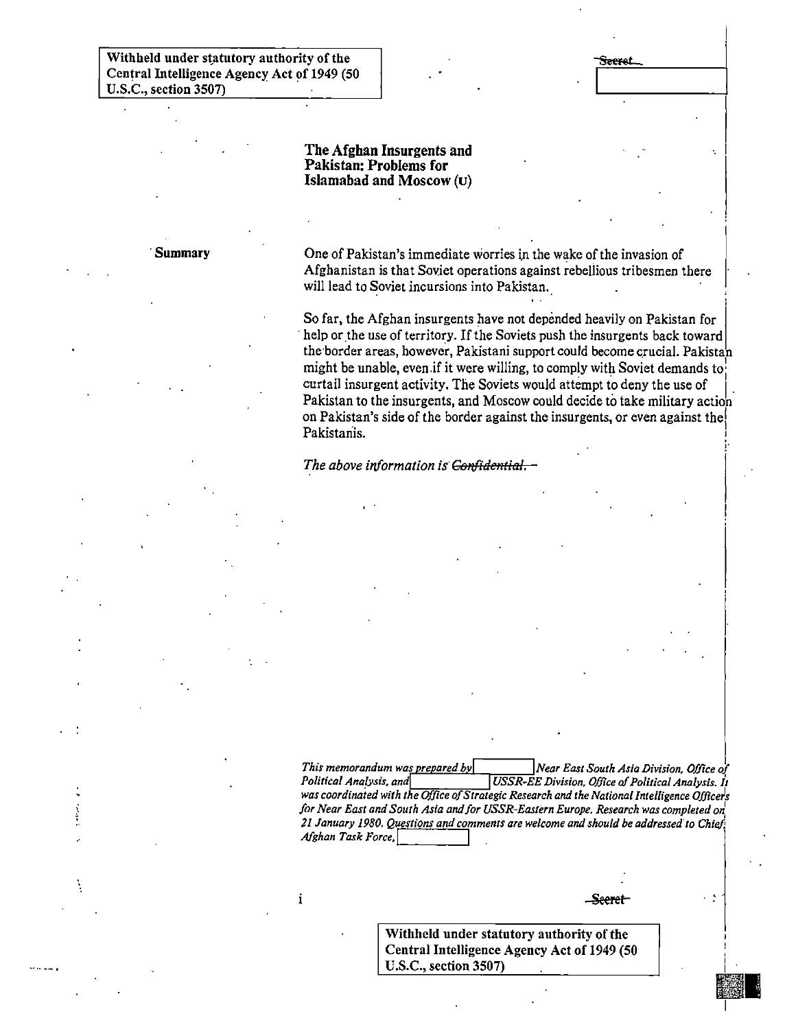**-seeret** 

·. I

!'

 $\vert$ 

### The Afghan Insurgents and Pakistan: Problems for Islamabad and Moscow (u)

........

**Summary** One of Pakistan's immediate worries in the wake of the invasion of Afghanistan is that Soviet operations against rebellious tribesmen there will lead to Soviet incursions into Pakistan.

> So far, the Afghan insurgents have not depended heavily on Pakistan for help or the use of territory. If the Soviets push the insurgents back toward the border areas, however, Pakistani support could become crucial. Pakistan might be unable, even if it were willing, to comply with Soviet demands to: curtail insurgent activity. The Soviets would attempt to deny the use of Pakistan to the insurgents, and Moscow could decide to take military action on Pakistan's side of the border against the insurgents, or even against the! Pakistanis. !

*The above information is· Can/idential.* 

 $\mathbf{i}$ 

*This memorandum was prepared by* **Near East South Asia Division, Office of** *Political Analysis, It NESR-EE Division, Office of Political Analysis, It Political Analysis. and!* I*USSR-EE Division. Office* af*Political Analysis. It was coordinated with the Office* of*Strategic Research and the National Intelligence Officefs for Near East and South Asia and/or USSR-Eastern Europe. Research was completed on: 21 January 1980. Questions and comments are welcome and should be addressed' to Chid)*   $A$ fghan Task Force,

Seeret

I

121 I

Withheld under statutory authority of the Central Intelligence Agency Act of 1949 (50 U.S.C., section 3507)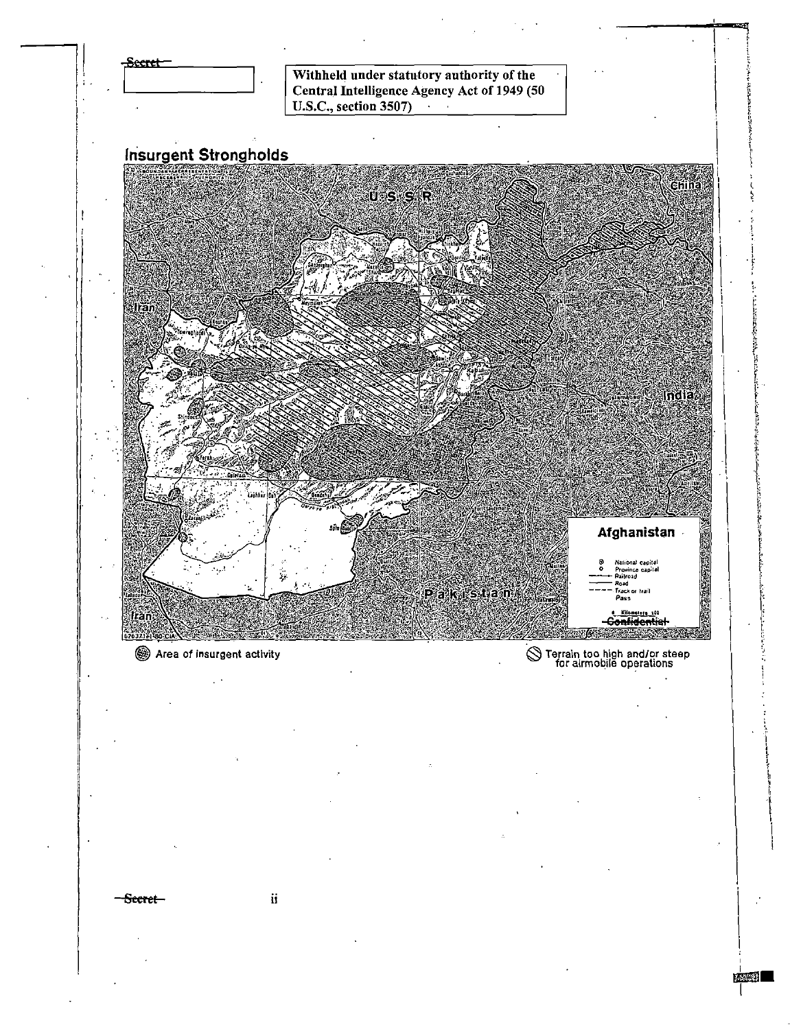

Secret-

ä

经验对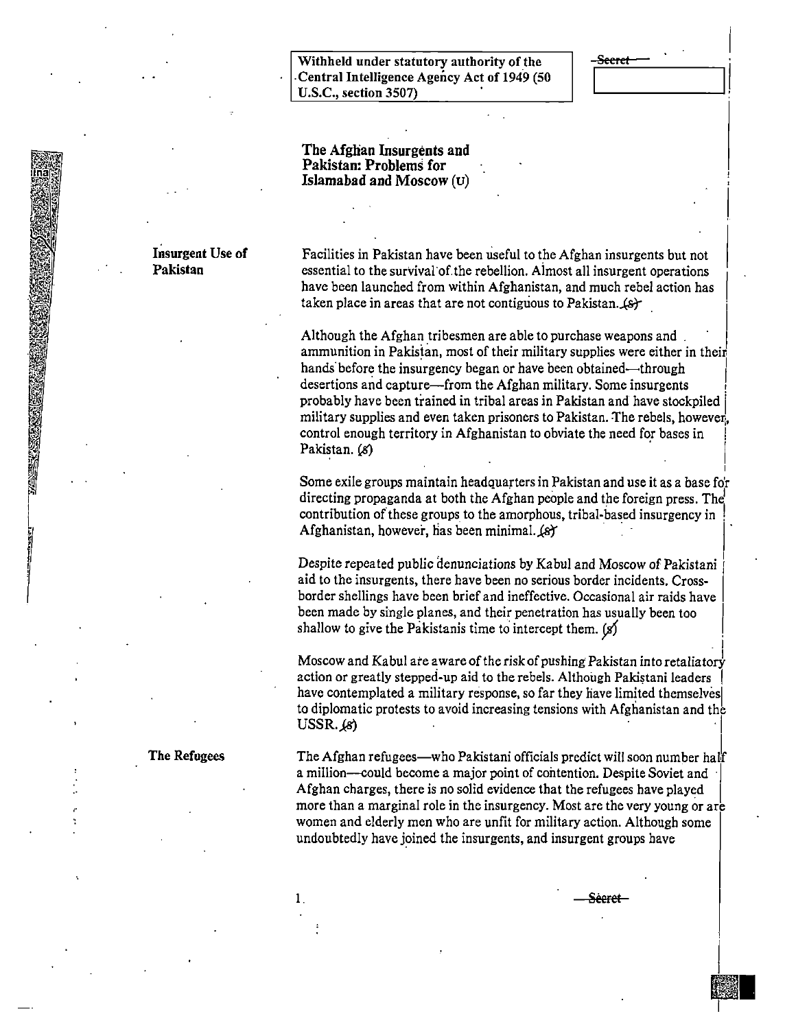Withheld under statutory authority of the -;§S~··~··tt::::\_\_-----,1 I -Central Intelligence Agency Act of 194.9 (50 U.S.C., section 3507)

I

I

. I

|<br>|<br>Refere

I

Illian<br>Illian Illian ann an 1970<br>Illian an 1970

The Afglian Insurgents and Pakistan: Problems for Islamabad and Moscow (u)

#### Insurgent Use of Pakistan

**SASSER CREW STATES** 

Facilities in Pakistan have been useful to the Afghan insurgents but not essential to the survival·of.the rebellion. Aimost all insurgent operations have been launched from within Afghanistan, and much rebel action has taken place in areas that are not contiguous to Pakistan.  $(s)$ 

Although the Afghan tribesmen are able to purchase weapons and ammunition in Pakistan, most of their military supplies were either in their hands before the insurgency began or have been obtained—through desertions and capture—from the Afghan military. Some insurgents probably have been trained in tribal areas in Pakistan and have stockpiled [ military supplies and even taken prisoners to Pakistan. The rebels, however, control enough territory in Afghanistan to obviate the need for bases in Pakistan. (8)

Some exile groups maintain headquarters in Pakistan and use it as a base for directing propaganda at both the Afghan people and the foreign press. The contribution of these groups to the amorphous, tribal-based insurgency in : Afghanistan, however, has been minimal. (s)

Despite repeated public denunciations by Kabul and Moscow of Pakistani aid to the insurgents, there have been no serious border incidents. Crossborder shellings have been brief and ineffective. Occasional air raids have been made by single planes, and their penetration has usually been too shallow to give the Pakistanis time to intercept them.  $(s)$ 

Moscow and Kabul are aware of the risk of pushing Pakistan into retaliatory action or greatly stepped-up aid to the rebels. Although Pakistani leaders have contemplated a military response, so far they have limited themselves to diplomatic protests to avoid increasing tensions with Afghanistan and the  $USSR, \omega$ 

The Afghan refugees—who Pakistani officials predict will soon number half a million--could become a major point of contention. Despite Soviet and Afghan charges, there is no solid evidence that the refugees have played more than a marginal role in the insurgency. Most are the very young or are women and elderly men who are unfit for military action. Although some undoubtedly have joined the insurgents, and insurgent groups have

<del>Sècret -</del>

The Refugees

1.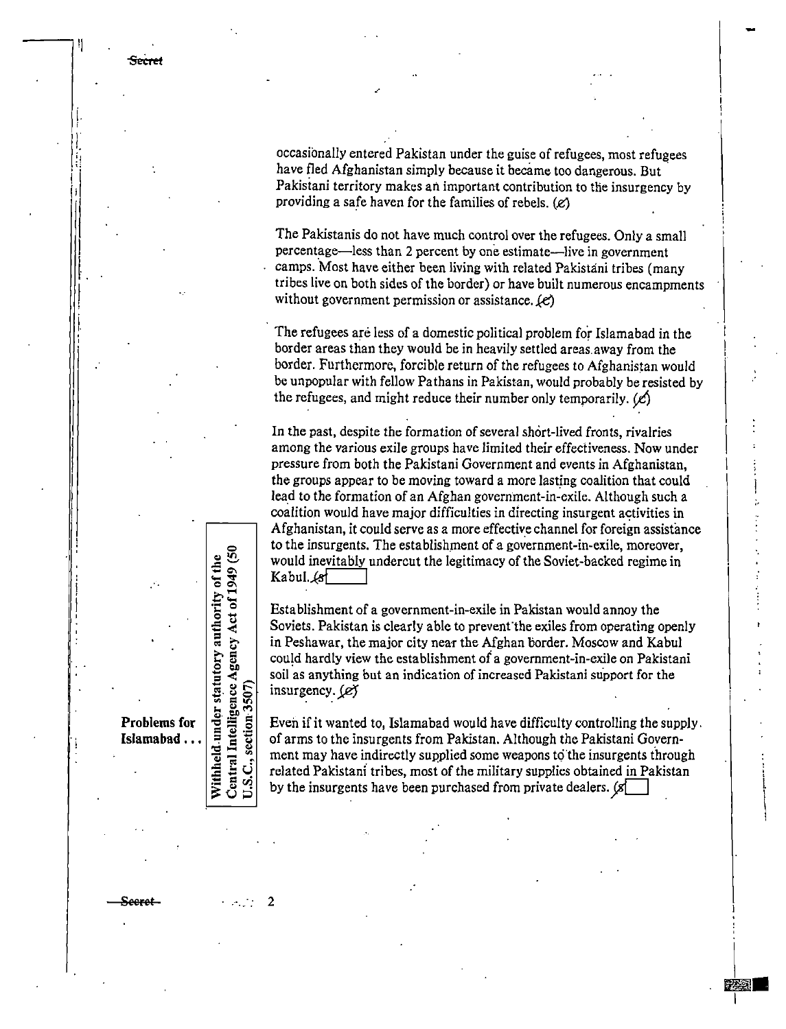Secret

I I.  $\vert$  occasionally entered Pakistan under the guise of refugees, most refugees have fled Afghanistan simply because it became too dangerous. But Pakisiani territory makes an important contribution to the insurgency by providing a safe haven for the families of rebels.  $(e)$ 

The Pakistanis do not have much control over the refugees. Only a small percentage-less than 2 percent by one estimate-live in government camps. Most have either been living with related Pakistani tribes (many tribes live on both sides of the border) or have built numerous encampments without government permission or assistance.  $(e)$ 

The refugees are less of a domestic political problem for Islamabad in the border areas than they would be in heavily settled areas. away from the border. Furthermore, forcible return of the refugees to Afghanistan would be unpopular with fellow Pathans in Pakistan, would probably be resisted by the refugees, and might reduce their number only temporarily.  $(\mathcal{L})$ 

In the past, despite the formation of several short-lived fronts, rivalries among the various exile groups have limited their effectiveness. Now under pressure from both the Pakistani Government and events in Afghanistan, the groups appear to be moving toward a more lasting coalition that could lead to the formation of an Afghan government-in-exile. Although such a coalition would have major difficulties in directing insurgent activities in Afghanistan, it could serve as a more effective channel for foreign assistance to the insurgents. The establishment of a government-in-exile, moreover, would inevitably undercut the legitimacy of the Soviet-backed regime in Kabul. $~4$ 

Establishment of a government-in-exile in Pakistan would annoy the Soviets. Pakistan is clearly able to prevent the exiles from operating openly in Peshawar, the major city near the Afghan border. Moscow and Kabul could hardly view the establishment of a government-in-exile on Pakistani soil as anything but an indication of increased Pakistani support for the insurgency.  $(e)$ **Problems for**<br> **Problems for the supply in the supply in the supply in the supply in Peshawar, the major city near the Afghan border. Moscow and Kabul<br>
<b>Problems for** Exercise 2.1 The Pakistan is clearly able to prevent t

**Islamabad ...**  $\vert \bar{z} \vert$   $\vert \bar{z} \vert$  of arms to the insurgents from Pakistan. Although the Pakistani Government may have indirectly supplied some weapons to 'the insurgents through related Pakistani tribes, most of the military supplies obtained in Pakistan by the insurgents have been purchased from private dealers.  $[s]$ 

:<br>!<br>!

 $\overline{\phantom{a}}$ I.

i.

I

ئى တ္

**Seeret** 2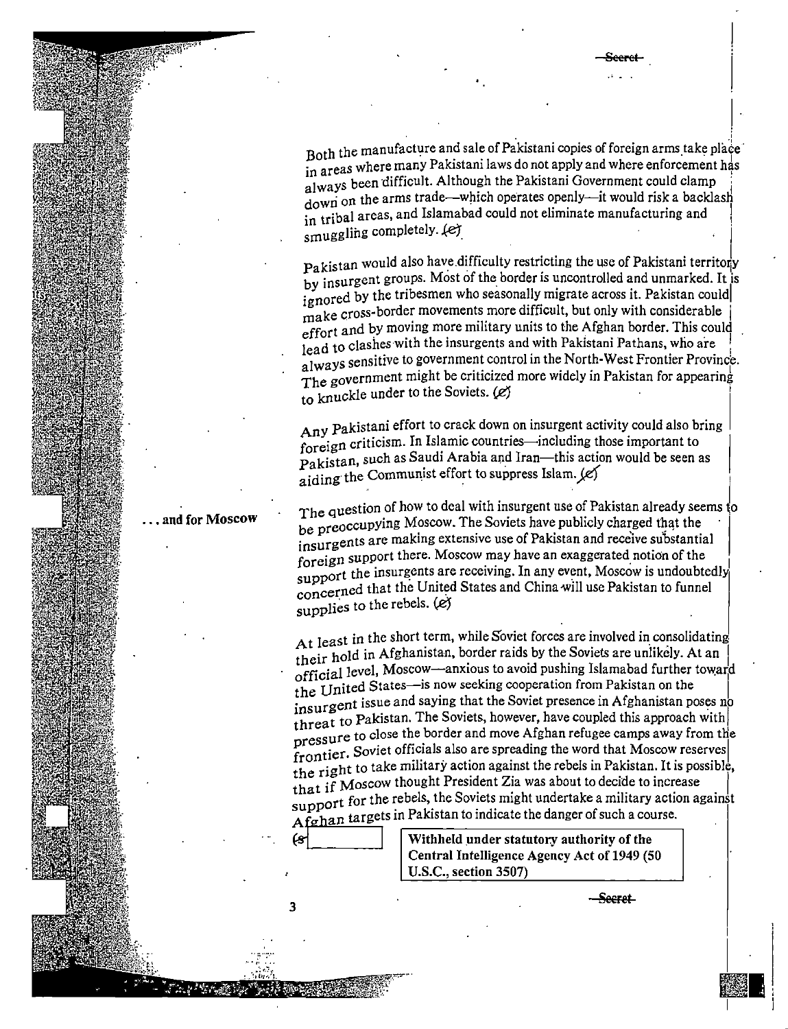Both the manufacture and sale of Pakistani copies of foreign arms take place in areas where many Pakistani laws do not apply and where enforcement has always been difficult. Although the Pakistani Government could clamp down on the arms trade—which operates openly—it would risk a backlash in tribal areas, and Islamabad could not eliminate manufacturing and smuggling completely. (e)

Pakistan would also have difficulty restricting the use of Pakistani territory by insurgent groups. Most of the border is uncontrolled and unmarked. It is ignored by the tribesmen who seasonally migrate across it. Pakistan could make cross-border movements more difficult, but only with considerable effort and by moving more military units to the Afghan border. This could lead to clashes with the insurgents and with Pakistani Pathans, who are always sensitive to government control in the North-West Frontier Province. The government might be criticized more widely in Pakistan for appearing to knuckle under to the Soviets. (e)

Any Pakistani effort to crack down on insurgent activity could also bring foreign criticism. In Islamic countries—including those important to Pakistan, such as Saudi Arabia and Iran—this action would be seen as aiding the Communist effort to suppress Islam. (e)

The question of how to deal with insurgent use of Pakistan already seems to be preoccupying Moscow. The Soviets have publicly charged that the insurgents are making extensive use of Pakistan and receive substantial foreign support there. Moscow may have an exaggerated notion of the support the insurgents are receiving. In any event, Moscow is undoubtedly concerned that the United States and China will use Pakistan to funnel supplies to the rebels. (e)

At least in the short term, while Soviet forces are involved in consolidating their hold in Afghanistan, border raids by the Soviets are unlikely. At an official level, Moscow—anxious to avoid pushing Islamabad further toward the United States—is now seeking cooperation from Pakistan on the increased in Saving that the Soviet presence in Afghanistan poses no<br>insurgent issue and saying that the Soviet presence in Afghanistan poses no threat to Pakistan. The Soviets, however, have coupled this approach with pressure to close the border and move Afghan refugee camps away from the frontier. Soviet officials also are spreading the word that Moscow reserves the right to take military action against the rebels in Pakistan. It is possible, that if Moscow thought President Zia was about to decide to increase support for the rebels, the Soviets might undertake a military action against Afghan targets in Pakistan to indicate the danger of such a course.

3

Withheld under statutory authority of the Central Intelligence Agency Act of 1949 (50 U.S.C., section 3507)

 $-$ Secret

## and for Moscow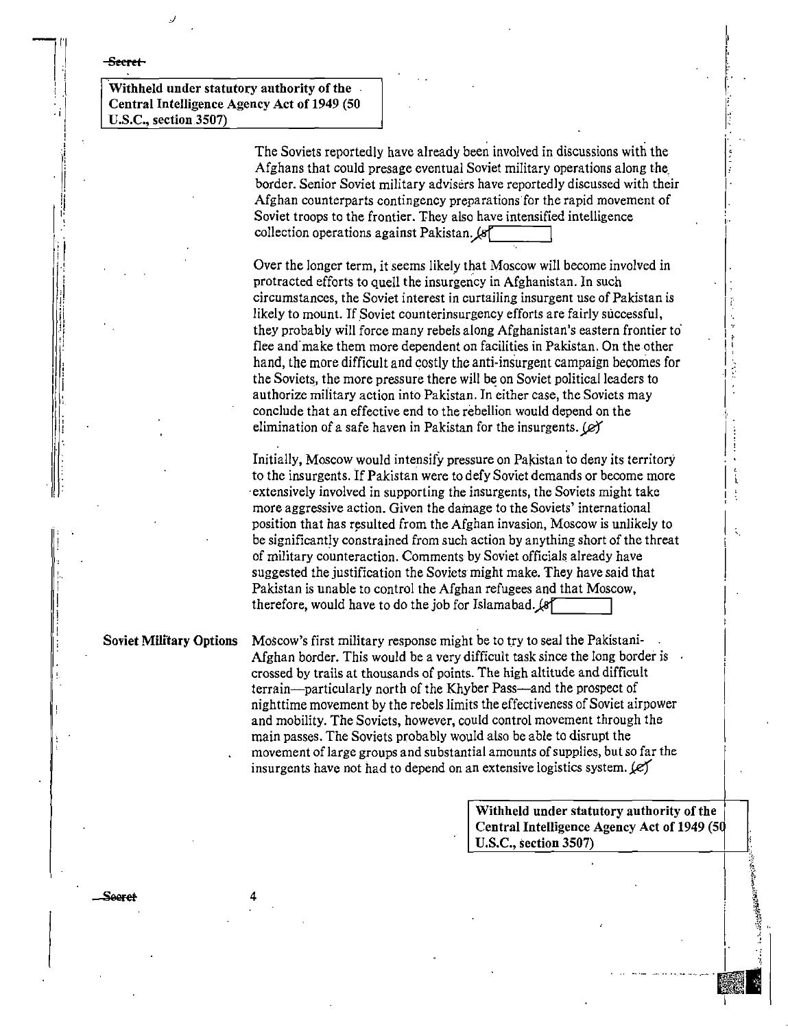#### -Seeret-

Withheld under statutory authority of the Central Intelligence Agency Act of 1949 (50 U.S.C., section 3507)

> The Soviets reportedly have already been involved in discussions with the Afghans that could presage eventual Soviet military operations along the border. Senior Soviet military advisers have reportedly discussed with their Afghan counterparts contingency preparations for the rapid movement of Soviet troops to the frontier. They also have intensified intelligence collection operations against Pakistan. (8"

> Over the longer term, it seems likely that Moscow will become involved in protracted efforts to quell the insurgency in Afghanistan. In such circumstances, the Soviet interest in curtailing insurgent use of Pakistan is likely to mount. If Soviet counterinsurgency efforts are fairly successful, they probably will force many rebels along Afghanistan's eastern frontier to flee and make them more dependent on facilities in Pakistan. On the other hand, the more difficult and costly the anti-insurgent campaign becomes for the Soviets, the more pressure there will be on Soviet political leaders to authorize military action into Pakistan. In either case, the Soviets may conclude that an effective end to the rebellion would depend on the elimination of a safe haven in Pakistan for the insurgents.  $(\mathscr{L})$

> Initially, Moscow would intensify pressure on Pakistan to deny its territory to the insurgents. If Pakistan were to defy Soviet demands or become more extensively involved in supporting the insurgents, the Soviets might take more aggressive action. Given the damage to the Soviets' international position that has resulted from the Afghan invasion. Moscow is unlikely to be significantly constrained from such action by anything short of the threat of military counteraction. Comments by Soviet officials already have suggested the justification the Soviets might make. They have said that Pakistan is unable to control the Afghan refugees and that Moscow, therefore, would have to do the job for Islamabad. (8)

**Soviet Military Options** 

Moscow's first military response might be to try to seal the Pakistani-Afghan border. This would be a very difficult task since the long border is  $\theta$ . crossed by trails at thousands of points. The high altitude and difficult terrain—particularly north of the Khyber Pass—and the prospect of nighttime movement by the rebels limits the effectiveness of Soviet airpower and mobility. The Soviets, however, could control movement through the main passes. The Soviets probably would also be able to disrupt the movement of large groups and substantial amounts of supplies, but so far the insurgents have not had to depend on an extensive logistics system.  $(e)$ 

> Withheld under statutory authority of the Central Intelligence Agency Act of 1949 (50 U.S.C., section 3507)

Seeret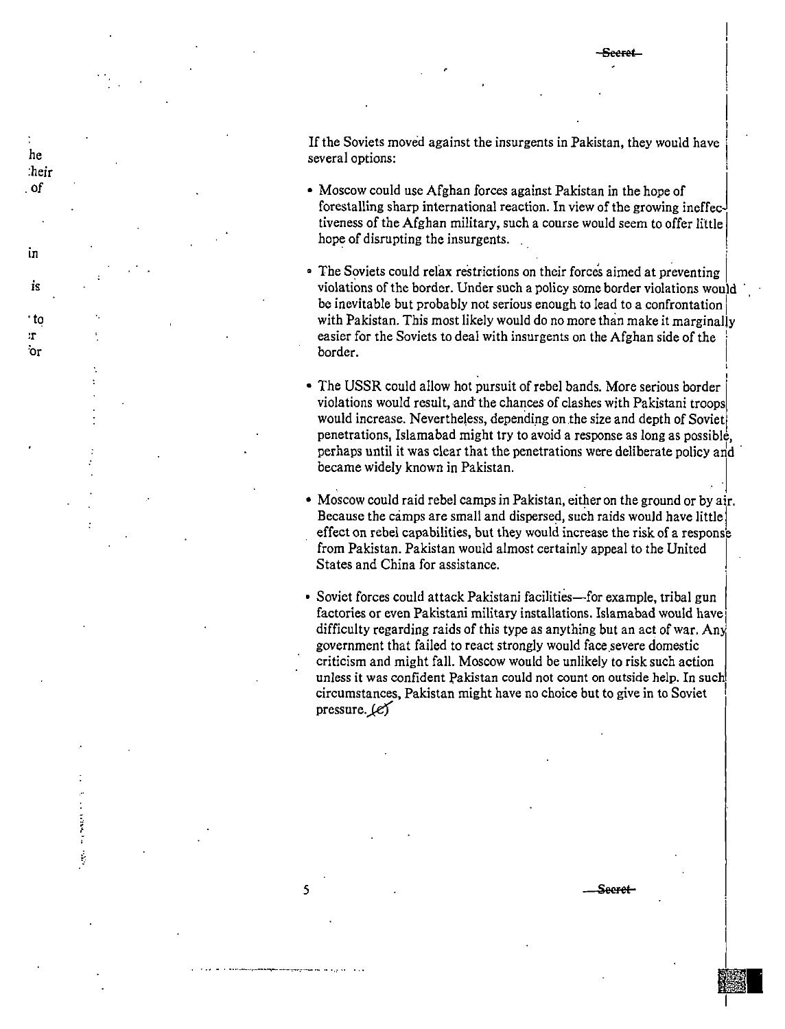'<br>I  $\mathbf{I}$ I

'<br>İ

·

**Illiana** 

|<br>|<br>|-

I

I

If the Soviets moved against the insurgents in Pakistan, they would have several options:

- Moscow could use Afghan forces against Pakistan in the hope of forestalling sharp international reaction. In view of the growing ineffec tiveness of the Afghan military, such a course would seem to offer little hope of disrupting the insurgents.
- The Soviets could relax restrictions on their forces aimed at preventing violations of the border. Under such a policy some border violations would · be inevitable but probably not serious enough to lead to a confrontation with Pakistan. This most likely would do no more than make it marginally easier for the Soviets to deal with insurgents on the Afghan side of the border. border. <u>1986 - 1986 - 1986 - 1986 - 1987 - 1988 - 1988 - 1988 - 1988 - 1988 - 1988 - 1988 - 1988 - 1988 - 19</u>
- The USSR could allow hot pursuit of rebel bands. More serious border violations would result, and the chances of clashes with Pakistani troops would increase. Nevertheless, depending on the size and depth of Soviet penetrations, Islamabad might try to avoid a response as long as possible, perhaps until it was clear that the penetrations were deliberate policy and became widely known in Pakistan.
- Moscow could raid rebel camps in Pakistan, either on the ground or by air. Because the camps are small and dispersed, such raids would have little effect on rebel capabilities, but they would increase the risk of a response from Pakistan. Pakistan would almost certainly appeal to the United States and China for assistance.
- Soviet forces could attack Pakistani facilities—for example, tribal gun factories or even Pakistani military installations. Islamabad would have! difficulty regarding raids of this type as anything but an act of war. Any government that failed to react strongly would face.severe domestic criticism and might fall. Moscow would be unlikely to risk such action unless it was confident Pakistan could not count on outside help. In such circumstances, Pakistan might have no choice but to give in to Soviet pressure.  $\ell$ e)

5 **Seeret** 

0 •• M 0 ····---·......-......-M-OMO,MO~OO \_\_\_ - 0 .- 00 0 o0

he :heir . of

in

is

·to :r 'or